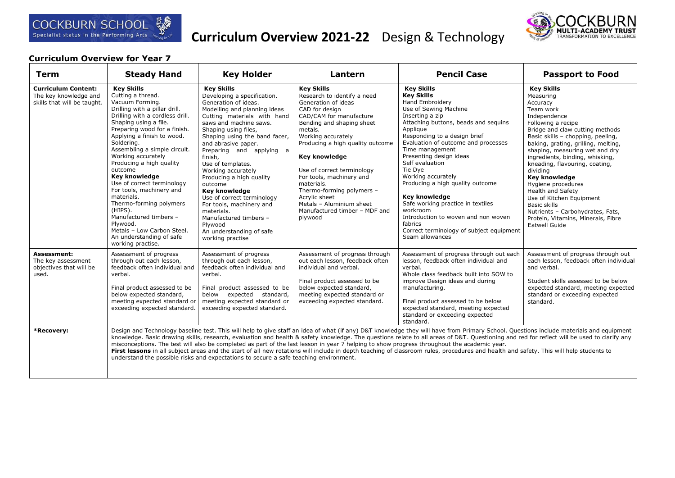

# **Curriculum Overview 2021-22** Design & Technology



### **Curriculum Overview for Year 7**

| Term                                                                               | <b>Steady Hand</b>                                                                                                                                                                                                                                                                                                                                                                                                                                                                                                                                                                  | <b>Key Holder</b>                                                                                                                                                                                                                                                                                                                                                                                                                                                                                                                                        | Lantern                                                                                                                                                                                                                                                                                                                                                                                                                               | <b>Pencil Case</b>                                                                                                                                                                                                                                                                                                                                                                                                                                                                                                                                                                                                                                                                                                           | <b>Passport to Food</b>                                                                                                                                                                                                                                                                                                                                                                                                                                                                                                                   |
|------------------------------------------------------------------------------------|-------------------------------------------------------------------------------------------------------------------------------------------------------------------------------------------------------------------------------------------------------------------------------------------------------------------------------------------------------------------------------------------------------------------------------------------------------------------------------------------------------------------------------------------------------------------------------------|----------------------------------------------------------------------------------------------------------------------------------------------------------------------------------------------------------------------------------------------------------------------------------------------------------------------------------------------------------------------------------------------------------------------------------------------------------------------------------------------------------------------------------------------------------|---------------------------------------------------------------------------------------------------------------------------------------------------------------------------------------------------------------------------------------------------------------------------------------------------------------------------------------------------------------------------------------------------------------------------------------|------------------------------------------------------------------------------------------------------------------------------------------------------------------------------------------------------------------------------------------------------------------------------------------------------------------------------------------------------------------------------------------------------------------------------------------------------------------------------------------------------------------------------------------------------------------------------------------------------------------------------------------------------------------------------------------------------------------------------|-------------------------------------------------------------------------------------------------------------------------------------------------------------------------------------------------------------------------------------------------------------------------------------------------------------------------------------------------------------------------------------------------------------------------------------------------------------------------------------------------------------------------------------------|
| <b>Curriculum Content:</b><br>The key knowledge and<br>skills that will be taught. | <b>Kev Skills</b><br>Cutting a thread.<br>Vacuum Forming.<br>Drilling with a pillar drill.<br>Drilling with a cordless drill.<br>Shaping using a file.<br>Preparing wood for a finish.<br>Applying a finish to wood.<br>Soldering.<br>Assembling a simple circuit.<br>Working accurately<br>Producing a high quality<br>outcome<br>Key knowledge<br>Use of correct terminology<br>For tools, machinery and<br>materials.<br>Thermo-forming polymers<br>(HIPS).<br>Manufactured timbers -<br>Plywood.<br>Metals - Low Carbon Steel.<br>An understanding of safe<br>working practise. | <b>Key Skills</b><br>Developing a specification.<br>Generation of ideas.<br>Modelling and planning ideas<br>Cutting materials with hand<br>saws and machine saws.<br>Shaping using files,<br>Shaping using the band facer,<br>and abrasive paper.<br>Preparing and applying a<br>finish,<br>Use of templates.<br>Working accurately<br>Producing a high quality<br>outcome<br>Key knowledge<br>Use of correct terminology<br>For tools, machinery and<br>materials.<br>Manufactured timbers -<br>Plywood<br>An understanding of safe<br>working practise | <b>Key Skills</b><br>Research to identify a need<br>Generation of ideas<br>CAD for design<br>CAD/CAM for manufacture<br>Bending and shaping sheet<br>metals.<br>Working accurately<br>Producing a high quality outcome<br>Key knowledge<br>Use of correct terminology<br>For tools, machinery and<br>materials.<br>Thermo-forming polymers -<br>Acrylic sheet<br>Metals - Aluminium sheet<br>Manufactured timber - MDF and<br>plywood | <b>Key Skills</b><br><b>Key Skills</b><br><b>Hand Embroidery</b><br>Use of Sewing Machine<br>Inserting a zip<br>Attaching buttons, beads and sequins<br>Applique<br>Responding to a design brief<br>Evaluation of outcome and processes<br>Time management<br>Presenting design ideas<br>Self evaluation<br>Tie Dve<br>Working accurately<br>Producing a high quality outcome<br>Key knowledge<br>Safe working practice in textiles<br>workroom<br>Introduction to woven and non woven<br>fabrics<br>Correct terminology of subject equipment<br>Seam allowances                                                                                                                                                             | <b>Key Skills</b><br>Measuring<br>Accuracy<br>Team work<br>Independence<br>Following a recipe<br>Bridge and claw cutting methods<br>Basic skills - chopping, peeling,<br>baking, grating, grilling, melting,<br>shaping, measuring wet and dry<br>ingredients, binding, whisking,<br>kneading, flavouring, coating,<br>dividina<br><b>Key knowledge</b><br>Hygiene procedures<br>Health and Safety<br>Use of Kitchen Equipment<br>Basic skills<br>Nutrients - Carbohydrates, Fats,<br>Protein, Vitamins, Minerals, Fibre<br>Eatwell Guide |
| Assessment:<br>The key assessment<br>objectives that will be<br>used.              | Assessment of progress<br>through out each lesson,<br>feedback often individual and<br>verbal.<br>Final product assessed to be<br>below expected standard,<br>meeting expected standard or<br>exceeding expected standard.                                                                                                                                                                                                                                                                                                                                                          | Assessment of progress<br>through out each lesson,<br>feedback often individual and<br>verbal.<br>Final product assessed to be<br>below expected standard,<br>meeting expected standard or<br>exceeding expected standard.                                                                                                                                                                                                                                                                                                                               | Assessment of progress through<br>out each lesson, feedback often<br>individual and verbal.<br>Final product assessed to be<br>below expected standard,<br>meeting expected standard or<br>exceeding expected standard.                                                                                                                                                                                                               | Assessment of progress through out each<br>lesson, feedback often individual and<br>verbal.<br>Whole class feedback built into SOW to<br>improve Design ideas and during<br>manufacturing.<br>Final product assessed to be below<br>expected standard, meeting expected<br>standard or exceeding expected<br>standard.                                                                                                                                                                                                                                                                                                                                                                                                       | Assessment of progress through out<br>each lesson, feedback often individual<br>and verbal.<br>Student skills assessed to be below<br>expected standard, meeting expected<br>standard or exceeding expected<br>standard.                                                                                                                                                                                                                                                                                                                  |
| *Recovery:                                                                         |                                                                                                                                                                                                                                                                                                                                                                                                                                                                                                                                                                                     | understand the possible risks and expectations to secure a safe teaching environment.                                                                                                                                                                                                                                                                                                                                                                                                                                                                    |                                                                                                                                                                                                                                                                                                                                                                                                                                       | Design and Technology baseline test. This will help to give staff an idea of what (if any) D&T knowledge they will have from Primary School. Questions include materials and equipment<br>knowledge. Basic drawing skills, research, evaluation and health & safety knowledge. The questions relate to all areas of D&T. Questioning and red for reflect will be used to clarify any<br>misconceptions. The test will also be completed as part of the last lesson in year 7 helping to show progress throughout the academic year.<br>First lessons in all subject areas and the start of all new rotations will include in depth teaching of classroom rules, procedures and health and safety. This will help students to |                                                                                                                                                                                                                                                                                                                                                                                                                                                                                                                                           |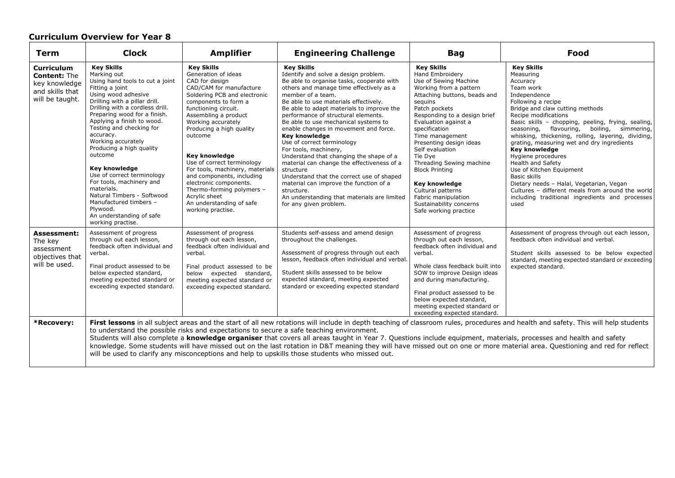# **Curriculum Overview for Year 8**

|                                                                                                 | <b>Curriculum Overview for Year 8</b>                                                                                                                                                                                                                                                                                                                                                                                                                                                                                                                               |                                                                                                                                                                                                                                                                                                                                                                                                                                                                                                           |                                                                                                                                                                                                                                                                                                                                                                                                                                                                                                                                                                                                                                                                                                                                                  |                                                                                                                                                                                                                                                                                                                                                                                                                                                                                |                                                                                                                                                                                                                                                                                                                                                                                                                                                                                                                                                                                                                                        |
|-------------------------------------------------------------------------------------------------|---------------------------------------------------------------------------------------------------------------------------------------------------------------------------------------------------------------------------------------------------------------------------------------------------------------------------------------------------------------------------------------------------------------------------------------------------------------------------------------------------------------------------------------------------------------------|-----------------------------------------------------------------------------------------------------------------------------------------------------------------------------------------------------------------------------------------------------------------------------------------------------------------------------------------------------------------------------------------------------------------------------------------------------------------------------------------------------------|--------------------------------------------------------------------------------------------------------------------------------------------------------------------------------------------------------------------------------------------------------------------------------------------------------------------------------------------------------------------------------------------------------------------------------------------------------------------------------------------------------------------------------------------------------------------------------------------------------------------------------------------------------------------------------------------------------------------------------------------------|--------------------------------------------------------------------------------------------------------------------------------------------------------------------------------------------------------------------------------------------------------------------------------------------------------------------------------------------------------------------------------------------------------------------------------------------------------------------------------|----------------------------------------------------------------------------------------------------------------------------------------------------------------------------------------------------------------------------------------------------------------------------------------------------------------------------------------------------------------------------------------------------------------------------------------------------------------------------------------------------------------------------------------------------------------------------------------------------------------------------------------|
| Term                                                                                            | <b>Clock</b>                                                                                                                                                                                                                                                                                                                                                                                                                                                                                                                                                        | <b>Amplifier</b>                                                                                                                                                                                                                                                                                                                                                                                                                                                                                          | <b>Engineering Challenge</b>                                                                                                                                                                                                                                                                                                                                                                                                                                                                                                                                                                                                                                                                                                                     | <b>Bag</b>                                                                                                                                                                                                                                                                                                                                                                                                                                                                     | Food                                                                                                                                                                                                                                                                                                                                                                                                                                                                                                                                                                                                                                   |
| <b>Curriculum</b><br><b>Content: The</b><br>key knowledge<br>and skills that<br>will be taught. | <b>Key Skills</b><br>Marking out<br>Using hand tools to cut a joint<br>Fitting a joint<br>Using wood adhesive<br>Drilling with a pillar drill.<br>Drilling with a cordless drill.<br>Preparing wood for a finish.<br>Applying a finish to wood.<br>Testing and checking for<br>accuracy.<br>Working accurately<br>Producing a high quality<br>outcome<br>Key knowledge<br>Use of correct terminology<br>For tools, machinery and<br>materials.<br>Natural Timbers - Softwood<br>Manufactured timbers -<br>Plywood.<br>An understanding of safe<br>working practise. | <b>Key Skills</b><br>Generation of ideas<br>CAD for design<br>CAD/CAM for manufacture<br>Soldering PCB and electronic<br>components to form a<br>functioning circuit.<br>Assembling a product<br>Working accurately<br>Producing a high quality<br>outcome<br><b>Key knowledge</b><br>Use of correct terminology<br>For tools, machinery, materials<br>and components, including<br>electronic components.<br>Thermo-forming polymers -<br>Acrylic sheet<br>An understanding of safe<br>working practise. | <b>Key Skills</b><br>Identify and solve a design problem.<br>Be able to organise tasks, cooperate with<br>others and manage time effectively as a<br>member of a team.<br>Be able to use materials effectively.<br>Be able to adapt materials to improve the<br>performance of structural elements.<br>Be able to use mechanical systems to<br>enable changes in movement and force.<br>Key knowledge<br>Use of correct terminology<br>For tools, machinery,<br>Understand that changing the shape of a<br>material can change the effectiveness of a<br>structure<br>Understand that the correct use of shaped<br>material can improve the function of a<br>structure.<br>An understanding that materials are limited<br>for any given problem. | <b>Key Skills</b><br>Hand Embroidery<br>Use of Sewing Machine<br>Working from a pattern<br>Attaching buttons, beads and<br>sequins<br>Patch pockets<br>Responding to a design brief<br>Evaluation against a<br>specification<br>Time management<br>Presenting design ideas<br>Self evaluation<br>Tie Dve<br>Threading Sewing machine<br><b>Block Printing</b><br>Key knowledge<br>Cultural patterns<br>Fabric manipulation<br>Sustainability concerns<br>Safe working practice | <b>Key Skills</b><br>Measuring<br>Accuracy<br>Team work<br>Independence<br>Following a recipe<br>Bridge and claw cutting methods<br>Recipe modifications<br>Basic skills - chopping, peeling, frying, sealing,<br>flavouring, boiling, simmering,<br>seasoning,<br>whisking, thickening, rolling, layering, dividing,<br>grating, measuring wet and dry ingredients<br>Key knowledge<br>Hygiene procedures<br>Health and Safety<br>Use of Kitchen Equipment<br>Basic skills<br>Dietary needs - Halal, Vegetarian, Vegan<br>Cultures - different meals from around the world<br>including traditional ingredients and processes<br>used |
| <b>Assessment:</b><br>The key<br>assessment<br>objectives that<br>will be used.                 | Assessment of progress<br>through out each lesson,<br>feedback often individual and<br>verbal.<br>Final product assessed to be<br>below expected standard,<br>meeting expected standard or<br>exceeding expected standard.                                                                                                                                                                                                                                                                                                                                          | Assessment of progress<br>through out each lesson,<br>feedback often individual and<br>verbal.<br>Final product assessed to be<br>below expected standard,<br>meeting expected standard or<br>exceeding expected standard.                                                                                                                                                                                                                                                                                | Students self-assess and amend design<br>throughout the challenges.<br>Assessment of progress through out each<br>lesson, feedback often individual and verbal.<br>Student skills assessed to be below<br>expected standard, meeting expected<br>standard or exceeding expected standard                                                                                                                                                                                                                                                                                                                                                                                                                                                         | Assessment of progress<br>through out each lesson,<br>feedback often individual and<br>verbal.<br>Whole class feedback built into<br>SOW to improve Design ideas<br>and during manufacturing.<br>Final product assessed to be<br>below expected standard,<br>meeting expected standard or<br>exceeding expected standard.                                                                                                                                                      | Assessment of progress through out each lesson,<br>feedback often individual and verbal.<br>Student skills assessed to be below expected<br>standard, meeting expected standard or exceeding<br>expected standard.                                                                                                                                                                                                                                                                                                                                                                                                                     |
| *Recovery:                                                                                      |                                                                                                                                                                                                                                                                                                                                                                                                                                                                                                                                                                     |                                                                                                                                                                                                                                                                                                                                                                                                                                                                                                           | to understand the possible risks and expectations to secure a safe teaching environment.<br>Students will also complete a knowledge organiser that covers all areas taught in Year 7. Questions include equipment, materials, processes and health and safety                                                                                                                                                                                                                                                                                                                                                                                                                                                                                    |                                                                                                                                                                                                                                                                                                                                                                                                                                                                                | First lessons in all subject areas and the start of all new rotations will include in depth teaching of classroom rules, procedures and health and safety. This will help students<br>knowledge. Some students will have missed out on the last rotation in D&T meaning they will have missed out on one or more material area. Questioning and red for reflect                                                                                                                                                                                                                                                                        |

will be used to clarify any misconceptions and help to upskills those students who missed out.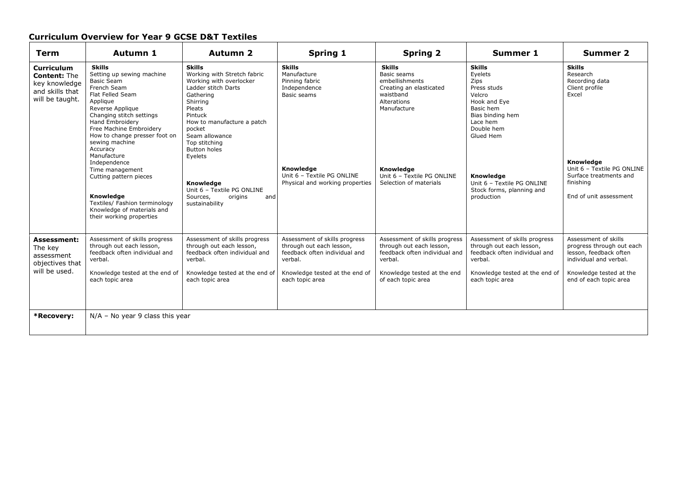## **Curriculum Overview for Year 9 GCSE D&T Textiles**

| Term                                                                                            | Autumn 1                                                                                                                                                                                                                                                                                                                                                                                                                                                        | <b>Autumn 2</b>                                                                                                                                                                                                                                                                                                                                      | <b>Spring 1</b>                                                                                                                                             | <b>Spring 2</b>                                                                                                                                                                           | <b>Summer 1</b>                                                                                                                                                                                                                         | <b>Summer 2</b>                                                                                                                                                                    |
|-------------------------------------------------------------------------------------------------|-----------------------------------------------------------------------------------------------------------------------------------------------------------------------------------------------------------------------------------------------------------------------------------------------------------------------------------------------------------------------------------------------------------------------------------------------------------------|------------------------------------------------------------------------------------------------------------------------------------------------------------------------------------------------------------------------------------------------------------------------------------------------------------------------------------------------------|-------------------------------------------------------------------------------------------------------------------------------------------------------------|-------------------------------------------------------------------------------------------------------------------------------------------------------------------------------------------|-----------------------------------------------------------------------------------------------------------------------------------------------------------------------------------------------------------------------------------------|------------------------------------------------------------------------------------------------------------------------------------------------------------------------------------|
| <b>Curriculum</b><br><b>Content: The</b><br>key knowledge<br>and skills that<br>will be taught. | <b>Skills</b><br>Setting up sewing machine<br><b>Basic Seam</b><br>French Seam<br>Flat Felled Seam<br>Applique<br>Reverse Applique<br>Changing stitch settings<br>Hand Embroidery<br>Free Machine Embroidery<br>How to change presser foot on<br>sewing machine<br>Accuracy<br>Manufacture<br>Independence<br>Time management<br>Cutting pattern pieces<br>Knowledge<br>Textiles/ Fashion terminology<br>Knowledge of materials and<br>their working properties | <b>Skills</b><br>Working with Stretch fabric<br>Working with overlocker<br>Ladder stitch Darts<br>Gathering<br>Shirring<br>Pleats<br>Pintuck<br>How to manufacture a patch<br>pocket<br>Seam allowance<br>Top stitching<br><b>Button holes</b><br>Eyelets<br>Knowledge<br>Unit 6 - Textile PG ONLINE<br>Sources,<br>origins<br>and<br>sustainability | <b>Skills</b><br>Manufacture<br>Pinning fabric<br>Independence<br>Basic seams<br>Knowledge<br>Unit 6 - Textile PG ONLINE<br>Physical and working properties | <b>Skills</b><br>Basic seams<br>embellishments<br>Creating an elasticated<br>waistband<br>Alterations<br>Manufacture<br>Knowledge<br>Unit 6 - Textile PG ONLINE<br>Selection of materials | <b>Skills</b><br>Eyelets<br>Zips<br>Press studs<br>Velcro<br>Hook and Eye<br>Basic hem<br>Bias binding hem<br>Lace hem<br>Double hem<br>Glued Hem<br>Knowledge<br>Unit 6 - Textile PG ONLINE<br>Stock forms, planning and<br>production | <b>Skills</b><br>Research<br>Recording data<br>Client profile<br>Excel<br>Knowledge<br>Unit 6 - Textile PG ONLINE<br>Surface treatments and<br>finishing<br>End of unit assessment |
| <b>Assessment:</b><br>The key<br>assessment<br>objectives that<br>will be used.                 | Assessment of skills progress<br>through out each lesson,<br>feedback often individual and<br>verbal.<br>Knowledge tested at the end of                                                                                                                                                                                                                                                                                                                         | Assessment of skills progress<br>through out each lesson,<br>feedback often individual and<br>verbal.<br>Knowledge tested at the end of                                                                                                                                                                                                              | Assessment of skills progress<br>through out each lesson,<br>feedback often individual and<br>verbal.<br>Knowledge tested at the end of                     | Assessment of skills progress<br>through out each lesson,<br>feedback often individual and<br>verbal.<br>Knowledge tested at the end                                                      | Assessment of skills progress<br>through out each lesson,<br>feedback often individual and<br>verbal.<br>Knowledge tested at the end of                                                                                                 | Assessment of skills<br>progress through out each<br>lesson, feedback often<br>individual and verbal.<br>Knowledge tested at the                                                   |
|                                                                                                 | each topic area                                                                                                                                                                                                                                                                                                                                                                                                                                                 | each topic area                                                                                                                                                                                                                                                                                                                                      | each topic area                                                                                                                                             | of each topic area                                                                                                                                                                        | each topic area                                                                                                                                                                                                                         | end of each topic area                                                                                                                                                             |
| *Recovery:                                                                                      | $N/A$ – No year 9 class this year                                                                                                                                                                                                                                                                                                                                                                                                                               |                                                                                                                                                                                                                                                                                                                                                      |                                                                                                                                                             |                                                                                                                                                                                           |                                                                                                                                                                                                                                         |                                                                                                                                                                                    |
|                                                                                                 |                                                                                                                                                                                                                                                                                                                                                                                                                                                                 |                                                                                                                                                                                                                                                                                                                                                      |                                                                                                                                                             |                                                                                                                                                                                           |                                                                                                                                                                                                                                         |                                                                                                                                                                                    |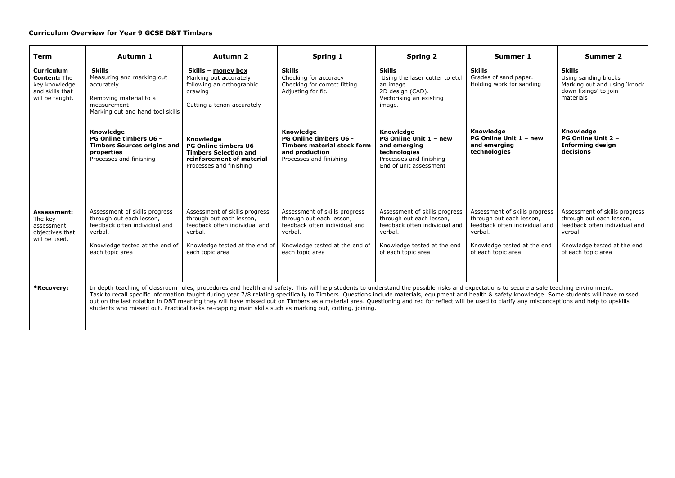#### **Curriculum Overview for Year 9 GCSE D&T Timbers**

| <b>Term</b>                                                                              | Autumn 1                                                                                                                                                   | <b>Autumn 2</b>                                                                                                                                            | Spring 1                                                                                                                                                                                                                                                                                                                                                                                                                                                                                                                                                                                                                                                                                                    | <b>Spring 2</b>                                                                                                                                            | Summer 1                                                                                                                                                   | Summer 2                                                                                                                                                   |
|------------------------------------------------------------------------------------------|------------------------------------------------------------------------------------------------------------------------------------------------------------|------------------------------------------------------------------------------------------------------------------------------------------------------------|-------------------------------------------------------------------------------------------------------------------------------------------------------------------------------------------------------------------------------------------------------------------------------------------------------------------------------------------------------------------------------------------------------------------------------------------------------------------------------------------------------------------------------------------------------------------------------------------------------------------------------------------------------------------------------------------------------------|------------------------------------------------------------------------------------------------------------------------------------------------------------|------------------------------------------------------------------------------------------------------------------------------------------------------------|------------------------------------------------------------------------------------------------------------------------------------------------------------|
| Curriculum<br><b>Content: The</b><br>key knowledge<br>and skills that<br>will be taught. | <b>Skills</b><br>Measuring and marking out<br>accurately<br>Removing material to a<br>measurement<br>Marking out and hand tool skills                      | Skills - money box<br>Marking out accurately<br>following an orthographic<br>drawing<br>Cutting a tenon accurately                                         | <b>Skills</b><br>Checking for accuracy<br>Checking for correct fitting.<br>Adjusting for fit.                                                                                                                                                                                                                                                                                                                                                                                                                                                                                                                                                                                                               | <b>Skills</b><br>Using the laser cutter to etch<br>an image<br>2D design (CAD).<br>Vectorising an existing<br>image.                                       | <b>Skills</b><br>Grades of sand paper.<br>Holding work for sanding                                                                                         | <b>Skills</b><br>Using sanding blocks<br>Marking out and using 'knock<br>down fixings' to join<br>materials                                                |
|                                                                                          | <b>Knowledge</b><br>PG Online timbers U6 -<br><b>Timbers Sources origins and</b><br>properties<br>Processes and finishing                                  | Knowledge<br>PG Online timbers U6 -<br><b>Timbers Selection and</b><br>reinforcement of material<br>Processes and finishing                                | Knowledge<br><b>PG Online timbers U6 -</b><br><b>Timbers material stock form</b><br>and production<br>Processes and finishing                                                                                                                                                                                                                                                                                                                                                                                                                                                                                                                                                                               | Knowledge<br>PG Online Unit 1 - new<br>and emerging<br>technologies<br>Processes and finishing<br>End of unit assessment                                   | Knowledge<br>PG Online Unit 1 - new<br>and emerging<br>technologies                                                                                        | <b>Knowledge</b><br>PG Online Unit 2 -<br><b>Informing design</b><br>decisions                                                                             |
| Assessment:<br>The kev<br>assessment<br>objectives that<br>will be used.                 | Assessment of skills progress<br>through out each lesson,<br>feedback often individual and<br>verbal.<br>Knowledge tested at the end of<br>each topic area | Assessment of skills progress<br>through out each lesson,<br>feedback often individual and<br>verbal.<br>Knowledge tested at the end of<br>each topic area | Assessment of skills progress<br>through out each lesson,<br>feedback often individual and<br>verbal.<br>Knowledge tested at the end of<br>each topic area                                                                                                                                                                                                                                                                                                                                                                                                                                                                                                                                                  | Assessment of skills progress<br>through out each lesson,<br>feedback often individual and<br>verbal.<br>Knowledge tested at the end<br>of each topic area | Assessment of skills progress<br>through out each lesson,<br>feedback often individual and<br>verbal.<br>Knowledge tested at the end<br>of each topic area | Assessment of skills progress<br>through out each lesson,<br>feedback often individual and<br>verbal.<br>Knowledge tested at the end<br>of each topic area |
| *Recovery:                                                                               |                                                                                                                                                            |                                                                                                                                                            | In depth teaching of classroom rules, procedures and health and safety. This will help students to understand the possible risks and expectations to secure a safe teaching environment.<br>Task to recall specific information taught during year 7/8 relating specifically to Timbers. Questions include materials, equipment and health & safety knowledge. Some students will have missed<br>out on the last rotation in D&T meaning they will have missed out on Timbers as a material area. Questioning and red for reflect will be used to clarify any misconceptions and help to upskills<br>students who missed out. Practical tasks re-capping main skills such as marking out, cutting, joining. |                                                                                                                                                            |                                                                                                                                                            |                                                                                                                                                            |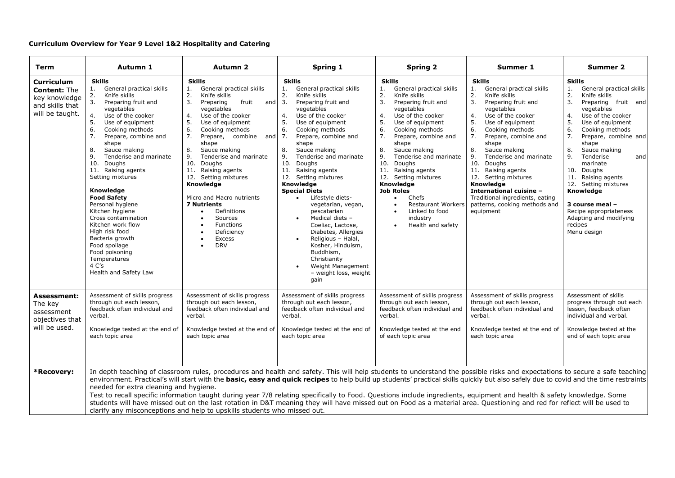#### **Curriculum Overview for Year 9 Level 1&2 Hospitality and Catering**

| Term                                                                                            | Autumn 1                                                                                                                                                                                                                                                                                                                                                                                                                                                                                                                                                                                               | <b>Autumn 2</b>                                                                                                                                                                                                                                                                                                                                                                                                                                                                                                                                          | Spring 1                                                                                                                                                                                                                                                                                                                                                                                                                                                                                                                                                                                                                                                                                                                | <b>Spring 2</b>                                                                                                                                                                                                                                                                                                                                                                                                                                                                                                                | Summer 1                                                                                                                                                                                                                                                                                                                                                                                                                                                                                   | <b>Summer 2</b>                                                                                                                                                                                                                                                                                                                                                                                                                                                                      |
|-------------------------------------------------------------------------------------------------|--------------------------------------------------------------------------------------------------------------------------------------------------------------------------------------------------------------------------------------------------------------------------------------------------------------------------------------------------------------------------------------------------------------------------------------------------------------------------------------------------------------------------------------------------------------------------------------------------------|----------------------------------------------------------------------------------------------------------------------------------------------------------------------------------------------------------------------------------------------------------------------------------------------------------------------------------------------------------------------------------------------------------------------------------------------------------------------------------------------------------------------------------------------------------|-------------------------------------------------------------------------------------------------------------------------------------------------------------------------------------------------------------------------------------------------------------------------------------------------------------------------------------------------------------------------------------------------------------------------------------------------------------------------------------------------------------------------------------------------------------------------------------------------------------------------------------------------------------------------------------------------------------------------|--------------------------------------------------------------------------------------------------------------------------------------------------------------------------------------------------------------------------------------------------------------------------------------------------------------------------------------------------------------------------------------------------------------------------------------------------------------------------------------------------------------------------------|--------------------------------------------------------------------------------------------------------------------------------------------------------------------------------------------------------------------------------------------------------------------------------------------------------------------------------------------------------------------------------------------------------------------------------------------------------------------------------------------|--------------------------------------------------------------------------------------------------------------------------------------------------------------------------------------------------------------------------------------------------------------------------------------------------------------------------------------------------------------------------------------------------------------------------------------------------------------------------------------|
| <b>Curriculum</b><br><b>Content: The</b><br>key knowledge<br>and skills that<br>will be taught. | <b>Skills</b><br>General practical skills<br>1.<br>Knife skills<br>2.<br>3.<br>Preparing fruit and<br>vegetables<br>Use of the cooker<br>4.<br>5.<br>Use of equipment<br>6.<br>Cooking methods<br>7.<br>Prepare, combine and<br>shape<br>8.<br>Sauce making<br>9.<br>Tenderise and marinate<br>10.<br>Doughs<br>11. Raising agents<br>Setting mixtures<br>Knowledge<br><b>Food Safety</b><br>Personal hygiene<br>Kitchen hygiene<br>Cross contamination<br>Kitchen work flow<br>High risk food<br>Bacteria growth<br>Food spoilage<br>Food poisoning<br>Temperatures<br>4 C's<br>Health and Safety Law | <b>Skills</b><br>General practical skills<br>1.<br>2.<br>Knife skills<br>3.<br>Preparing<br>fruit<br>and<br>vegetables<br>Use of the cooker<br>4.<br>5.<br>Use of equipment<br>6.<br>Cooking methods<br>7.<br>and $7.$<br>Prepare,<br>combine<br>shape<br>8.<br>Sauce making<br>9.<br>Tenderise and marinate<br>10.<br>Doughs<br>11.<br>Raising agents<br>Setting mixtures<br>12.<br>Knowledge<br>Micro and Macro nutrients<br><b>7 Nutrients</b><br>Definitions<br>Sources<br>Functions<br>Deficiency<br>$\bullet$<br>Excess<br>$\bullet$<br><b>DRV</b> | <b>Skills</b><br>General practical skills<br>1.<br>2.<br>Knife skills<br>3.<br>Preparing fruit and<br>vegetables<br>Use of the cooker<br>4.<br>5.<br>Use of equipment<br>6.<br>Cooking methods<br>Prepare, combine and<br>shape<br>8.<br>Sauce making<br>9.<br>Tenderise and marinate<br>10. Doughs<br>11.<br>Raising agents<br>12. Setting mixtures<br>Knowledge<br><b>Special Diets</b><br>Lifestyle diets-<br>$\bullet$<br>vegetarian, vegan,<br>pescatarian<br>Medical diets -<br>Coeliac, Lactose,<br>Diabetes, Allergies<br>Religious - Halal,<br>Kosher, Hinduism,<br>Buddhism,<br>Christianity<br>Weight Management<br>- weight loss, weight<br>gain                                                            | <b>Skills</b><br>General practical skills<br>1.<br>2.<br>Knife skills<br>3.<br>Preparing fruit and<br>vegetables<br>Use of the cooker<br>4.<br>5.<br>Use of equipment<br>6.<br>Cooking methods<br>7.<br>Prepare, combine and<br>shape<br>8.<br>Sauce making<br>Tenderise and marinate<br>9.<br>10.<br>Doughs<br>Raising agents<br>11.<br>12. Setting mixtures<br>Knowledge<br><b>Job Roles</b><br>Chefs<br>$\bullet$<br><b>Restaurant Workers</b><br>Linked to food<br>$\bullet$<br>industry<br>Health and safety<br>$\bullet$ | <b>Skills</b><br>General practical skills<br>1.<br>2.<br>Knife skills<br>3.<br>Preparing fruit and<br>vegetables<br>4.<br>Use of the cooker<br>5.<br>Use of equipment<br>6.<br>Cooking methods<br>7.<br>Prepare, combine and<br>shape<br>8.<br>Sauce making<br>9.<br>Tenderise and marinate<br>10. Doughs<br>11.<br>Raising agents<br>12. Setting mixtures<br><b>Knowledge</b><br>International cuisine -<br>Traditional ingredients, eating<br>patterns, cooking methods and<br>equipment | <b>Skills</b><br>General practical skills<br>1.<br>2.<br>Knife skills<br>3.<br>Preparing fruit and<br>vegetables<br>Use of the cooker<br>4.<br>5.<br>Use of equipment<br>6.<br>Cooking methods<br>7.<br>Prepare, combine and<br>shape<br>8.<br>Sauce making<br>9.<br>Tenderise<br>and<br>marinate<br>Doughs<br>10.<br>Raising agents<br>11.<br>Setting mixtures<br>12.<br>Knowledge<br>3 course meal -<br>Recipe appropriateness<br>Adapting and modifying<br>recipes<br>Menu design |
| <b>Assessment:</b><br>The key<br>assessment<br>objectives that<br>will be used.                 | Assessment of skills progress<br>through out each lesson,<br>feedback often individual and<br>verbal.<br>Knowledge tested at the end of<br>each topic area                                                                                                                                                                                                                                                                                                                                                                                                                                             | Assessment of skills progress<br>through out each lesson,<br>feedback often individual and<br>verbal.<br>Knowledge tested at the end of<br>each topic area                                                                                                                                                                                                                                                                                                                                                                                               | Assessment of skills progress<br>through out each lesson,<br>feedback often individual and<br>verbal.<br>Knowledge tested at the end of<br>each topic area                                                                                                                                                                                                                                                                                                                                                                                                                                                                                                                                                              | Assessment of skills progress<br>through out each lesson,<br>feedback often individual and<br>verbal.<br>Knowledge tested at the end<br>of each topic area                                                                                                                                                                                                                                                                                                                                                                     | Assessment of skills progress<br>through out each lesson,<br>feedback often individual and<br>verbal.<br>Knowledge tested at the end of<br>each topic area                                                                                                                                                                                                                                                                                                                                 | Assessment of skills<br>progress through out each<br>lesson, feedback often<br>individual and verbal.<br>Knowledge tested at the<br>end of each topic area                                                                                                                                                                                                                                                                                                                           |
| *Recovery:                                                                                      | needed for extra cleaning and hygiene.                                                                                                                                                                                                                                                                                                                                                                                                                                                                                                                                                                 | clarify any misconceptions and help to upskills students who missed out.                                                                                                                                                                                                                                                                                                                                                                                                                                                                                 | In depth teaching of classroom rules, procedures and health and safety. This will help students to understand the possible risks and expectations to secure a safe teaching<br>environment. Practical's will start with the basic, easy and quick recipes to help build up students' practical skills quickly but also safely due to covid and the time restraints<br>Test to recall specific information taught during year 7/8 relating specifically to Food. Questions include ingredients, equipment and health & safety knowledge. Some<br>students will have missed out on the last rotation in D&T meaning they will have missed out on Food as a material area. Questioning and red for reflect will be used to |                                                                                                                                                                                                                                                                                                                                                                                                                                                                                                                                |                                                                                                                                                                                                                                                                                                                                                                                                                                                                                            |                                                                                                                                                                                                                                                                                                                                                                                                                                                                                      |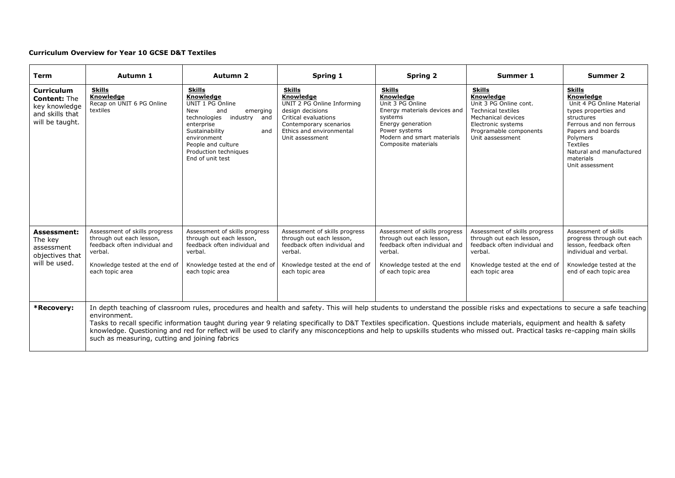#### **Curriculum Overview for Year 10 GCSE D&T Textiles**

| <b>Term</b>                                                                                     | Autumn 1                                                                                                                                                                                                                                                                                                                                                                                                                                                                                                                                                                                                 | <b>Autumn 2</b>                                                                                                                                                                                                                   | Spring 1                                                                                                                                                                      | <b>Spring 2</b>                                                                                                                                                                             | Summer 1                                                                                                                                                                    | Summer 2                                                                                                                                                                                                                                 |
|-------------------------------------------------------------------------------------------------|----------------------------------------------------------------------------------------------------------------------------------------------------------------------------------------------------------------------------------------------------------------------------------------------------------------------------------------------------------------------------------------------------------------------------------------------------------------------------------------------------------------------------------------------------------------------------------------------------------|-----------------------------------------------------------------------------------------------------------------------------------------------------------------------------------------------------------------------------------|-------------------------------------------------------------------------------------------------------------------------------------------------------------------------------|---------------------------------------------------------------------------------------------------------------------------------------------------------------------------------------------|-----------------------------------------------------------------------------------------------------------------------------------------------------------------------------|------------------------------------------------------------------------------------------------------------------------------------------------------------------------------------------------------------------------------------------|
| <b>Curriculum</b><br><b>Content: The</b><br>key knowledge<br>and skills that<br>will be taught. | <b>Skills</b><br>Knowledge<br>Recap on UNIT 6 PG Online<br>textiles                                                                                                                                                                                                                                                                                                                                                                                                                                                                                                                                      | <b>Skills</b><br>Knowledge<br>UNIT 1 PG Online<br>New<br>and<br>emerging<br>technologies<br>industry and<br>enterprise<br>Sustainability<br>and<br>environment<br>People and culture<br>Production techniques<br>End of unit test | <b>Skills</b><br>Knowledge<br>UNIT 2 PG Online Informing<br>design decisions<br>Critical evaluations<br>Contemporary scenarios<br>Ethics and environmental<br>Unit assessment | <b>Skills</b><br><b>Knowledge</b><br>Unit 3 PG Online<br>Energy materials devices and<br>systems<br>Energy generation<br>Power systems<br>Modern and smart materials<br>Composite materials | <b>Skills</b><br>Knowledge<br>Unit 3 PG Online cont.<br><b>Technical textiles</b><br>Mechanical devices<br>Electronic systems<br>Programable components<br>Unit aassessment | <b>Skills</b><br>Knowledge<br>Unit 4 PG Online Material<br>types properties and<br>structures<br>Ferrous and non ferrous<br>Papers and boards<br>Polymers<br><b>Textiles</b><br>Natural and manufactured<br>materials<br>Unit assessment |
| <b>Assessment:</b><br>The key<br>assessment<br>objectives that<br>will be used.                 | Assessment of skills progress<br>through out each lesson,<br>feedback often individual and<br>verbal.<br>Knowledge tested at the end of<br>each topic area                                                                                                                                                                                                                                                                                                                                                                                                                                               | Assessment of skills progress<br>through out each lesson,<br>feedback often individual and<br>verbal.<br>Knowledge tested at the end of<br>each topic area                                                                        | Assessment of skills progress<br>through out each lesson,<br>feedback often individual and<br>verbal.<br>Knowledge tested at the end of<br>each topic area                    | Assessment of skills progress<br>through out each lesson,<br>feedback often individual and<br>verbal.<br>Knowledge tested at the end<br>of each topic area                                  | Assessment of skills progress<br>through out each lesson,<br>feedback often individual and<br>verbal.<br>Knowledge tested at the end of<br>each topic area                  | Assessment of skills<br>progress through out each<br>lesson, feedback often<br>individual and verbal.<br>Knowledge tested at the<br>end of each topic area                                                                               |
| *Recovery:                                                                                      | In depth teaching of classroom rules, procedures and health and safety. This will help students to understand the possible risks and expectations to secure a safe teaching<br>environment.<br>Tasks to recall specific information taught during year 9 relating specifically to D&T Textiles specification. Questions include materials, equipment and health & safety<br>knowledge. Questioning and red for reflect will be used to clarify any misconceptions and help to upskills students who missed out. Practical tasks re-capping main skills<br>such as measuring, cutting and joining fabrics |                                                                                                                                                                                                                                   |                                                                                                                                                                               |                                                                                                                                                                                             |                                                                                                                                                                             |                                                                                                                                                                                                                                          |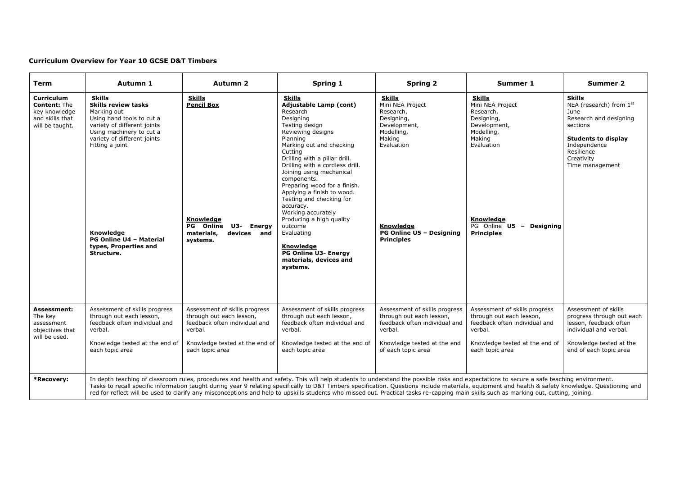#### **Curriculum Overview for Year 10 GCSE D&T Timbers**

| <b>Term</b>                                                                                     | Autumn 1                                                                                                                                                                                                                                                                                   | <b>Autumn 2</b>                                                                                                                         | Spring 1                                                                                                                                                                                                                                                                                                                                                                                                                                                                                                                                      | <b>Spring 2</b>                                                                                                                                                                  | Summer 1                                                                                                                                                                                   | <b>Summer 2</b>                                                                                                                                                                            |
|-------------------------------------------------------------------------------------------------|--------------------------------------------------------------------------------------------------------------------------------------------------------------------------------------------------------------------------------------------------------------------------------------------|-----------------------------------------------------------------------------------------------------------------------------------------|-----------------------------------------------------------------------------------------------------------------------------------------------------------------------------------------------------------------------------------------------------------------------------------------------------------------------------------------------------------------------------------------------------------------------------------------------------------------------------------------------------------------------------------------------|----------------------------------------------------------------------------------------------------------------------------------------------------------------------------------|--------------------------------------------------------------------------------------------------------------------------------------------------------------------------------------------|--------------------------------------------------------------------------------------------------------------------------------------------------------------------------------------------|
| <b>Curriculum</b><br><b>Content: The</b><br>key knowledge<br>and skills that<br>will be taught. | <b>Skills</b><br><b>Skills review tasks</b><br>Marking out<br>Using hand tools to cut a<br>variety of different joints<br>Using machinery to cut a<br>variety of different joints<br>Fitting a joint<br>Knowledae<br><b>PG Online U4 - Material</b><br>types, Properties and<br>Structure. | <b>Skills</b><br><b>Pencil Box</b><br>Knowledge<br>PG Online<br>U3-<br>Energy<br>materials,<br>devices and<br>systems.                  | <b>Skills</b><br><b>Adjustable Lamp (cont)</b><br>Research<br>Designing<br>Testing design<br>Reviewing designs<br>Planning<br>Marking out and checking<br>Cutting<br>Drilling with a pillar drill.<br>Drilling with a cordless drill.<br>Joining using mechanical<br>components.<br>Preparing wood for a finish.<br>Applying a finish to wood.<br>Testing and checking for<br>accuracy.<br>Working accurately<br>Producing a high quality<br>outcome<br>Evaluating<br>Knowledge<br>PG Online U3- Energy<br>materials, devices and<br>systems. | <b>Skills</b><br>Mini NEA Project<br>Research,<br>Designing,<br>Development,<br>Modelling,<br>Making<br>Evaluation<br>Knowledge<br>PG Online U5 - Designing<br><b>Principles</b> | <b>Skills</b><br>Mini NEA Project<br>Research,<br>Designing,<br>Development,<br>Modelling,<br>Making<br>Evaluation<br>Knowledge<br>PG Online U5 -<br><b>Designing</b><br><b>Principles</b> | <b>Skills</b><br>NEA (research) from 1st<br><b>June</b><br>Research and designing<br>sections<br><b>Students to display</b><br>Independence<br>Resilience<br>Creativity<br>Time management |
| <b>Assessment:</b><br>The key<br>assessment<br>objectives that<br>will be used.                 | Assessment of skills progress<br>through out each lesson,<br>feedback often individual and<br>verbal.<br>Knowledge tested at the end of                                                                                                                                                    | Assessment of skills progress<br>through out each lesson,<br>feedback often individual and<br>verbal.<br>Knowledge tested at the end of | Assessment of skills progress<br>through out each lesson,<br>feedback often individual and<br>verbal.<br>Knowledge tested at the end of                                                                                                                                                                                                                                                                                                                                                                                                       | Assessment of skills progress<br>through out each lesson,<br>feedback often individual and<br>verbal.<br>Knowledge tested at the end                                             | Assessment of skills progress<br>through out each lesson,<br>feedback often individual and<br>verbal.<br>Knowledge tested at the end of                                                    | Assessment of skills<br>progress through out each<br>lesson, feedback often<br>individual and verbal.<br>Knowledge tested at the                                                           |
| *Recovery:                                                                                      | each topic area                                                                                                                                                                                                                                                                            | each topic area                                                                                                                         | each topic area<br>In depth teaching of classroom rules, procedures and health and safety. This will help students to understand the possible risks and expectations to secure a safe teaching environment.<br>Tasks to recall specific information taught during year 9 relating specifically to D&T Timbers specification. Questions include materials, equipment and health & safety knowledge. Questioning and                                                                                                                            | of each topic area                                                                                                                                                               | each topic area                                                                                                                                                                            | end of each topic area                                                                                                                                                                     |
|                                                                                                 |                                                                                                                                                                                                                                                                                            |                                                                                                                                         | red for reflect will be used to clarify any misconceptions and help to upskills students who missed out. Practical tasks re-capping main skills such as marking out, cutting, joining.                                                                                                                                                                                                                                                                                                                                                        |                                                                                                                                                                                  |                                                                                                                                                                                            |                                                                                                                                                                                            |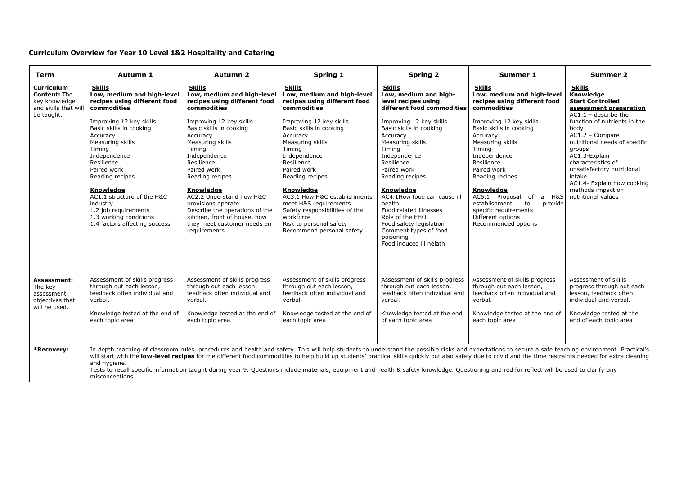#### **Curriculum Overview for Year 10 Level 1&2 Hospitality and Catering**

| <b>Term</b>                                                                            | Autumn 1                                                                                                                                                                                                                                                                                                                                  | Autumn 2                                                                                                                                                                                                                                                                                                                                                    | Spring 1                                                                                                                                                                                                                                                                                                                                                                                                                                                                                                                                                                                                            | <b>Spring 2</b>                                                                                                                                                                                                                                                                                                                             | Summer 1                                                                                                                                                                                                                                                                                                                             | Summer 2                                                                                                                                                                                                                                                                                                                                                                  |
|----------------------------------------------------------------------------------------|-------------------------------------------------------------------------------------------------------------------------------------------------------------------------------------------------------------------------------------------------------------------------------------------------------------------------------------------|-------------------------------------------------------------------------------------------------------------------------------------------------------------------------------------------------------------------------------------------------------------------------------------------------------------------------------------------------------------|---------------------------------------------------------------------------------------------------------------------------------------------------------------------------------------------------------------------------------------------------------------------------------------------------------------------------------------------------------------------------------------------------------------------------------------------------------------------------------------------------------------------------------------------------------------------------------------------------------------------|---------------------------------------------------------------------------------------------------------------------------------------------------------------------------------------------------------------------------------------------------------------------------------------------------------------------------------------------|--------------------------------------------------------------------------------------------------------------------------------------------------------------------------------------------------------------------------------------------------------------------------------------------------------------------------------------|---------------------------------------------------------------------------------------------------------------------------------------------------------------------------------------------------------------------------------------------------------------------------------------------------------------------------------------------------------------------------|
| Curriculum<br><b>Content: The</b><br>key knowledge<br>and skills that wi<br>be taught. | <b>Skills</b><br>Low, medium and high-level<br>recipes using different food<br>commodities<br>Improving 12 key skills<br>Basic skills in cooking<br>Accuracy<br>Measuring skills<br>Timing<br>Independence<br>Resilience<br>Paired work<br>Reading recipes<br>Knowledge<br>AC1.1 structure of the H&C<br>industry<br>1.2 job requirements | <b>Skills</b><br>Low, medium and high-level<br>recipes using different food<br>commodities<br>Improving 12 key skills<br>Basic skills in cooking<br>Accuracy<br>Measuring skills<br>Timing<br>Independence<br>Resilience<br>Paired work<br>Reading recipes<br>Knowledge<br>AC2.2 Understand how H&C<br>provisions operate<br>Describe the operations of the | <b>Skills</b><br>Low, medium and high-level<br>recipes using different food<br>commodities<br>Improving 12 key skills<br>Basic skills in cooking<br>Accuracy<br>Measuring skills<br>Timing<br>Independence<br>Resilience<br>Paired work<br>Reading recipes<br>Knowledge<br>AC3.1 How H&C establishments<br>meet H&S requirements<br>Safety responsibilities of the                                                                                                                                                                                                                                                  | <b>Skills</b><br>Low, medium and high-<br>level recipes using<br>different food commodities<br>Improving 12 key skills<br>Basic skills in cooking<br>Accuracy<br>Measuring skills<br>Timing<br>Independence<br>Resilience<br>Paired work<br>Reading recipes<br>Knowledge<br>AC4.1How food can cause ill<br>health<br>Food related illnesses | <b>Skills</b><br>Low, medium and high-level<br>recipes using different food<br>commodities<br>Improving 12 key skills<br>Basic skills in cooking<br>Accuracy<br>Measuring skills<br>Timing<br>Independence<br>Resilience<br>Paired work<br>Reading recipes<br>Knowledge<br>AC5.1 Proposal of a H&S<br>establishment<br>to<br>provide | <b>Skills</b><br>Knowledge<br><b>Start Controlled</b><br>assessment preparation<br>$AC1.1 - describe the$<br>function of nutrients in the<br>body<br>$AC1.2 - Compare$<br>nutritional needs of specific<br>groups<br>AC1.3-Explain<br>characteristics of<br>unsatisfactory nutritional<br>intake<br>AC1.4- Explain how cooking<br>methods impact on<br>nutritional values |
|                                                                                        | 1.3 working conditions<br>1.4 factors affecting success                                                                                                                                                                                                                                                                                   | kitchen, front of house, how<br>they meet customer needs an<br>requirements                                                                                                                                                                                                                                                                                 | workforce<br>Risk to personal safety<br>Recommend personal safety                                                                                                                                                                                                                                                                                                                                                                                                                                                                                                                                                   | Role of the EHO<br>Food safety legislation<br>Comment types of food<br>poisoning<br>Food induced ill helath                                                                                                                                                                                                                                 | specific requirements<br>Different options<br>Recommended options                                                                                                                                                                                                                                                                    |                                                                                                                                                                                                                                                                                                                                                                           |
| Assessment:<br>The key<br>assessment<br>objectives that<br>will be used.               | Assessment of skills progress<br>through out each lesson,<br>feedback often individual and<br>verbal.                                                                                                                                                                                                                                     | Assessment of skills progress<br>through out each lesson,<br>feedback often individual and<br>verbal.                                                                                                                                                                                                                                                       | Assessment of skills progress<br>through out each lesson,<br>feedback often individual and<br>verbal.                                                                                                                                                                                                                                                                                                                                                                                                                                                                                                               | Assessment of skills progress<br>through out each lesson,<br>feedback often individual and<br>verbal.                                                                                                                                                                                                                                       | Assessment of skills progress<br>through out each lesson,<br>feedback often individual and<br>verbal.                                                                                                                                                                                                                                | Assessment of skills<br>progress through out each<br>lesson, feedback often<br>individual and verbal.                                                                                                                                                                                                                                                                     |
|                                                                                        | Knowledge tested at the end of<br>each topic area                                                                                                                                                                                                                                                                                         | Knowledge tested at the end of<br>each topic area                                                                                                                                                                                                                                                                                                           | Knowledge tested at the end of<br>each topic area                                                                                                                                                                                                                                                                                                                                                                                                                                                                                                                                                                   | Knowledge tested at the end<br>of each topic area                                                                                                                                                                                                                                                                                           | Knowledge tested at the end of<br>each topic area                                                                                                                                                                                                                                                                                    | Knowledge tested at the<br>end of each topic area                                                                                                                                                                                                                                                                                                                         |
| *Recovery:                                                                             | and hygiene.<br>misconceptions.                                                                                                                                                                                                                                                                                                           |                                                                                                                                                                                                                                                                                                                                                             | In depth teaching of classroom rules, procedures and health and safety. This will help students to understand the possible risks and expectations to secure a safe teaching environment. Practical's<br>will start with the low-level recipes for the different food commodities to help build up students' practical skills quickly but also safely due to covid and the time restraints needed for extra cleaning<br>Tests to recall specific information taught during year 9. Questions include materials, equipment and health & safety knowledge. Questioning and red for reflect will be used to clarify any |                                                                                                                                                                                                                                                                                                                                             |                                                                                                                                                                                                                                                                                                                                      |                                                                                                                                                                                                                                                                                                                                                                           |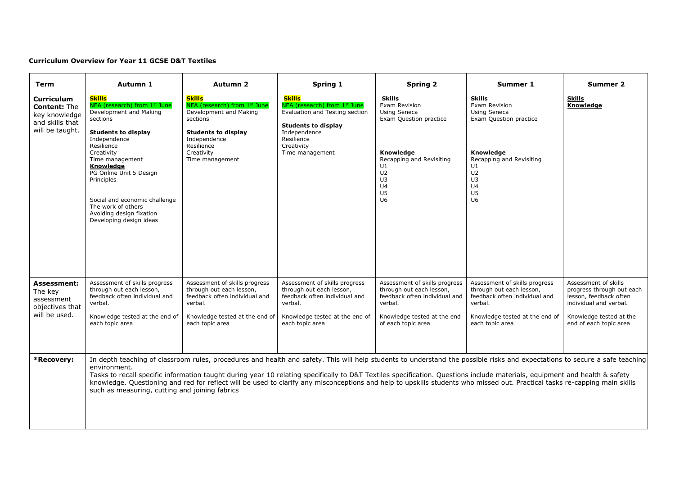#### **Curriculum Overview for Year 11 GCSE D&T Textiles**

| Term                                                                                            | Autumn 1                                                                                                                                                                                                                                                                                                                                             | <b>Autumn 2</b>                                                                                                                                                                  | Spring 1                                                                                                                                                                                                                                                                                                                                                                                                                                                                                                                                | Spring 2                                                                                                                                                                                                     | Summer 1                                                                                                                                                                                  | Summer 2                                                                                                                                                   |
|-------------------------------------------------------------------------------------------------|------------------------------------------------------------------------------------------------------------------------------------------------------------------------------------------------------------------------------------------------------------------------------------------------------------------------------------------------------|----------------------------------------------------------------------------------------------------------------------------------------------------------------------------------|-----------------------------------------------------------------------------------------------------------------------------------------------------------------------------------------------------------------------------------------------------------------------------------------------------------------------------------------------------------------------------------------------------------------------------------------------------------------------------------------------------------------------------------------|--------------------------------------------------------------------------------------------------------------------------------------------------------------------------------------------------------------|-------------------------------------------------------------------------------------------------------------------------------------------------------------------------------------------|------------------------------------------------------------------------------------------------------------------------------------------------------------|
| <b>Curriculum</b><br><b>Content: The</b><br>key knowledge<br>and skills that<br>will be taught. | <b>Skills</b><br>NEA (research) from 1st June<br>Development and Making<br>sections<br><b>Students to display</b><br>Independence<br>Resilience<br>Creativity<br>Time management<br>Knowledge<br>PG Online Unit 5 Design<br>Principles<br>Social and economic challenge<br>The work of others<br>Avoiding design fixation<br>Developing design ideas | <b>Skills</b><br>NEA (research) from 1st June<br>Development and Making<br>sections<br><b>Students to display</b><br>Independence<br>Resilience<br>Creativity<br>Time management | <b>Skills</b><br>NEA (research) from 1st June<br>Evaluation and Testing section<br><b>Students to display</b><br>Independence<br>Resilience<br>Creativity<br>Time management                                                                                                                                                                                                                                                                                                                                                            | <b>Skills</b><br>Exam Revision<br><b>Using Seneca</b><br>Exam Question practice<br>Knowledge<br>Recapping and Revisiting<br>U1<br>U <sub>2</sub><br>U3<br>U <sub>4</sub><br>U <sub>5</sub><br>U <sub>6</sub> | <b>Skills</b><br>Exam Revision<br>Using Seneca<br>Exam Question practice<br>Knowledge<br>Recapping and Revisiting<br>U1<br>U <sub>2</sub><br>U3<br>U <sub>4</sub><br>U5<br>U <sub>6</sub> | <b>Skills</b><br>Knowledge                                                                                                                                 |
| <b>Assessment:</b><br>The key<br>assessment<br>objectives that<br>will be used.                 | Assessment of skills progress<br>through out each lesson,<br>feedback often individual and<br>verbal.<br>Knowledge tested at the end of<br>each topic area                                                                                                                                                                                           | Assessment of skills progress<br>through out each lesson,<br>feedback often individual and<br>verbal.<br>Knowledge tested at the end of<br>each topic area                       | Assessment of skills progress<br>through out each lesson,<br>feedback often individual and<br>verbal.<br>Knowledge tested at the end of<br>each topic area                                                                                                                                                                                                                                                                                                                                                                              | Assessment of skills progress<br>through out each lesson,<br>feedback often individual and<br>verbal.<br>Knowledge tested at the end<br>of each topic area                                                   | Assessment of skills progress<br>through out each lesson,<br>feedback often individual and<br>verbal.<br>Knowledge tested at the end of<br>each topic area                                | Assessment of skills<br>progress through out each<br>lesson, feedback often<br>individual and verbal.<br>Knowledge tested at the<br>end of each topic area |
| *Recovery:                                                                                      | environment.<br>such as measuring, cutting and joining fabrics                                                                                                                                                                                                                                                                                       |                                                                                                                                                                                  | In depth teaching of classroom rules, procedures and health and safety. This will help students to understand the possible risks and expectations to secure a safe teaching<br>Tasks to recall specific information taught during year 10 relating specifically to D&T Textiles specification. Questions include materials, equipment and health & safety<br>knowledge. Questioning and red for reflect will be used to clarify any misconceptions and help to upskills students who missed out. Practical tasks re-capping main skills |                                                                                                                                                                                                              |                                                                                                                                                                                           |                                                                                                                                                            |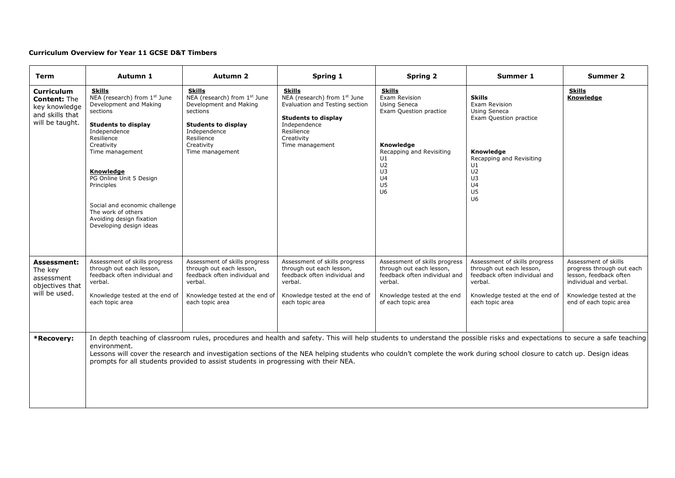#### **Curriculum Overview for Year 11 GCSE D&T Timbers**

| Term                                                                                            | Autumn 1                                                                                                                                                                                                                                                                                                                                             | <b>Autumn 2</b>                                                                                                                                                                  | Spring 1                                                                                                                                                                                                                                                                                                                                             | <b>Spring 2</b>                                                                                                                                                                                       | Summer 1                                                                                                                                                                                                     | <b>Summer 2</b>                                                                                                                                            |
|-------------------------------------------------------------------------------------------------|------------------------------------------------------------------------------------------------------------------------------------------------------------------------------------------------------------------------------------------------------------------------------------------------------------------------------------------------------|----------------------------------------------------------------------------------------------------------------------------------------------------------------------------------|------------------------------------------------------------------------------------------------------------------------------------------------------------------------------------------------------------------------------------------------------------------------------------------------------------------------------------------------------|-------------------------------------------------------------------------------------------------------------------------------------------------------------------------------------------------------|--------------------------------------------------------------------------------------------------------------------------------------------------------------------------------------------------------------|------------------------------------------------------------------------------------------------------------------------------------------------------------|
| <b>Curriculum</b><br><b>Content: The</b><br>key knowledge<br>and skills that<br>will be taught. | <b>Skills</b><br>NEA (research) from 1st June<br>Development and Making<br>sections<br><b>Students to display</b><br>Independence<br>Resilience<br>Creativity<br>Time management<br>Knowledge<br>PG Online Unit 5 Design<br>Principles<br>Social and economic challenge<br>The work of others<br>Avoiding design fixation<br>Developing design ideas | <b>Skills</b><br>NEA (research) from 1st June<br>Development and Making<br>sections<br><b>Students to display</b><br>Independence<br>Resilience<br>Creativity<br>Time management | <b>Skills</b><br>NEA (research) from 1st June<br>Evaluation and Testing section<br><b>Students to display</b><br>Independence<br>Resilience<br>Creativity<br>Time management                                                                                                                                                                         | <b>Skills</b><br>Exam Revision<br>Using Seneca<br>Exam Question practice<br>Knowledge<br>Recapping and Revisiting<br>U1<br>U <sub>2</sub><br>U3<br>U <sub>4</sub><br>U <sub>5</sub><br>U <sub>6</sub> | <b>Skills</b><br>Exam Revision<br><b>Using Seneca</b><br>Exam Question practice<br>Knowledge<br>Recapping and Revisiting<br>U1<br>U <sub>2</sub><br>U3<br>U <sub>4</sub><br>U <sub>5</sub><br>U <sub>6</sub> | <b>Skills</b><br>Knowledge                                                                                                                                 |
| <b>Assessment:</b><br>The key<br>assessment<br>objectives that<br>will be used.                 | Assessment of skills progress<br>through out each lesson,<br>feedback often individual and<br>verbal.<br>Knowledge tested at the end of<br>each topic area                                                                                                                                                                                           | Assessment of skills progress<br>through out each lesson,<br>feedback often individual and<br>verbal.<br>Knowledge tested at the end of<br>each topic area                       | Assessment of skills progress<br>through out each lesson,<br>feedback often individual and<br>verbal.<br>Knowledge tested at the end of<br>each topic area                                                                                                                                                                                           | Assessment of skills progress<br>through out each lesson,<br>feedback often individual and<br>verbal.<br>Knowledge tested at the end<br>of each topic area                                            | Assessment of skills progress<br>through out each lesson,<br>feedback often individual and<br>verbal.<br>Knowledge tested at the end of<br>each topic area                                                   | Assessment of skills<br>progress through out each<br>lesson, feedback often<br>individual and verbal.<br>Knowledge tested at the<br>end of each topic area |
| *Recovery:                                                                                      | environment.                                                                                                                                                                                                                                                                                                                                         | prompts for all students provided to assist students in progressing with their NEA.                                                                                              | In depth teaching of classroom rules, procedures and health and safety. This will help students to understand the possible risks and expectations to secure a safe teaching<br>Lessons will cover the research and investigation sections of the NEA helping students who couldn't complete the work during school closure to catch up. Design ideas |                                                                                                                                                                                                       |                                                                                                                                                                                                              |                                                                                                                                                            |